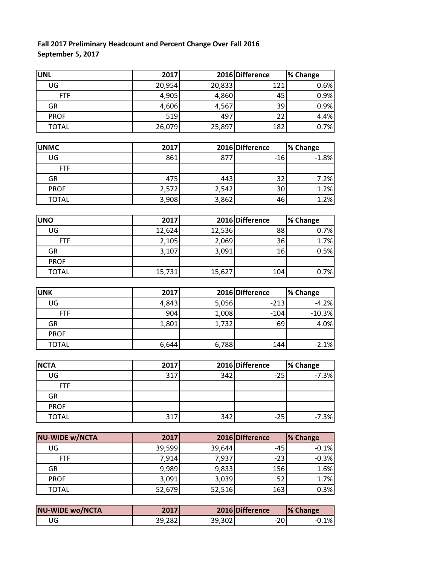## **Fall 2017 Preliminary Headcount and Percent Change Over Fall 2016 September 5, 2017**

| <b>UNL</b>   | 2017   |        | 2016 Difference | % Change |
|--------------|--------|--------|-----------------|----------|
| UG           | 20,954 | 20,833 | 121             | 0.6%     |
| <b>FTF</b>   | 4,905  | 4,860  | 45              | 0.9%     |
| GR           | 4,606  | 4,567  | 39              | 0.9%     |
| <b>PROF</b>  | 519    | 497    | 22              | 4.4%     |
| <b>TOTAL</b> | 26,079 | 25,897 | 182             | 0.7%     |

| <b>UNMC</b>  | 2017  |       | 2016 Difference | % Change |
|--------------|-------|-------|-----------------|----------|
| UG           | 861   | 877   | -16             | $-1.8%$  |
| <b>FTF</b>   |       |       |                 |          |
| GR           | 475   | 443   | າ າ             | 7.2%     |
| <b>PROF</b>  | 2,572 | 2,542 | 30              | 1.2%     |
| <b>TOTAL</b> | 3,908 | 3,862 | 46              | 1.2%     |

| <b>UNO</b>   | 2017   |        | 2016 Difference | % Change |
|--------------|--------|--------|-----------------|----------|
| UG           | 12,624 | 12,536 | 88              | 0.7%     |
| <b>FTF</b>   | 2,105  | 2,069  | 36              | 1.7%     |
| GR           | 3,107  | 3,091  | 16              | 0.5%     |
| <b>PROF</b>  |        |        |                 |          |
| <b>TOTAL</b> | 15,731 | 15,627 | 104             | 0.7%     |

| <b>UNK</b>   | 2017  |       | 2016 Difference | % Change |
|--------------|-------|-------|-----------------|----------|
| UG           | 4,843 | 5,056 | $-213$          | $-4.2%$  |
| <b>FTF</b>   | 904   | 1,008 | $-104$          | $-10.3%$ |
| GR           | 1,801 | 1,732 | 69              | 4.0%     |
| <b>PROF</b>  |       |       |                 |          |
| <b>TOTAL</b> | 6,644 | 6,788 | $-144$          | $-2.1%$  |

|     |      |       | % Change                      |
|-----|------|-------|-------------------------------|
| 317 |      | $-25$ | $-7.3%$                       |
|     |      |       |                               |
|     |      |       |                               |
|     |      |       |                               |
| 317 |      | $-25$ | $-7.3%$                       |
|     | 2017 |       | 2016 Difference<br>342<br>342 |

| <b>NU-WIDE w/NCTA</b> | 2017   |        | 2016 Difference | % Change |
|-----------------------|--------|--------|-----------------|----------|
| UG                    | 39,599 | 39,644 | $-45$           | $-0.1%$  |
| <b>FTF</b>            | 7,914  | 7,937  | $-23$           | $-0.3%$  |
| GR                    | 9,989  | 9,833  | 156             | 1.6%     |
| <b>PROF</b>           | 3,091  | 3,039  | 52              | 1.7%     |
| <b>TOTAL</b>          | 52,679 | 52,516 | 163             | 0.3%     |

| <b>NU-WIDE wo/NCTA</b> | 2017   |        | 2016 Difference | <b>1% Change</b> |
|------------------------|--------|--------|-----------------|------------------|
| JG                     | 39,282 | 39,302 | $-20$           | $-0.1%$          |